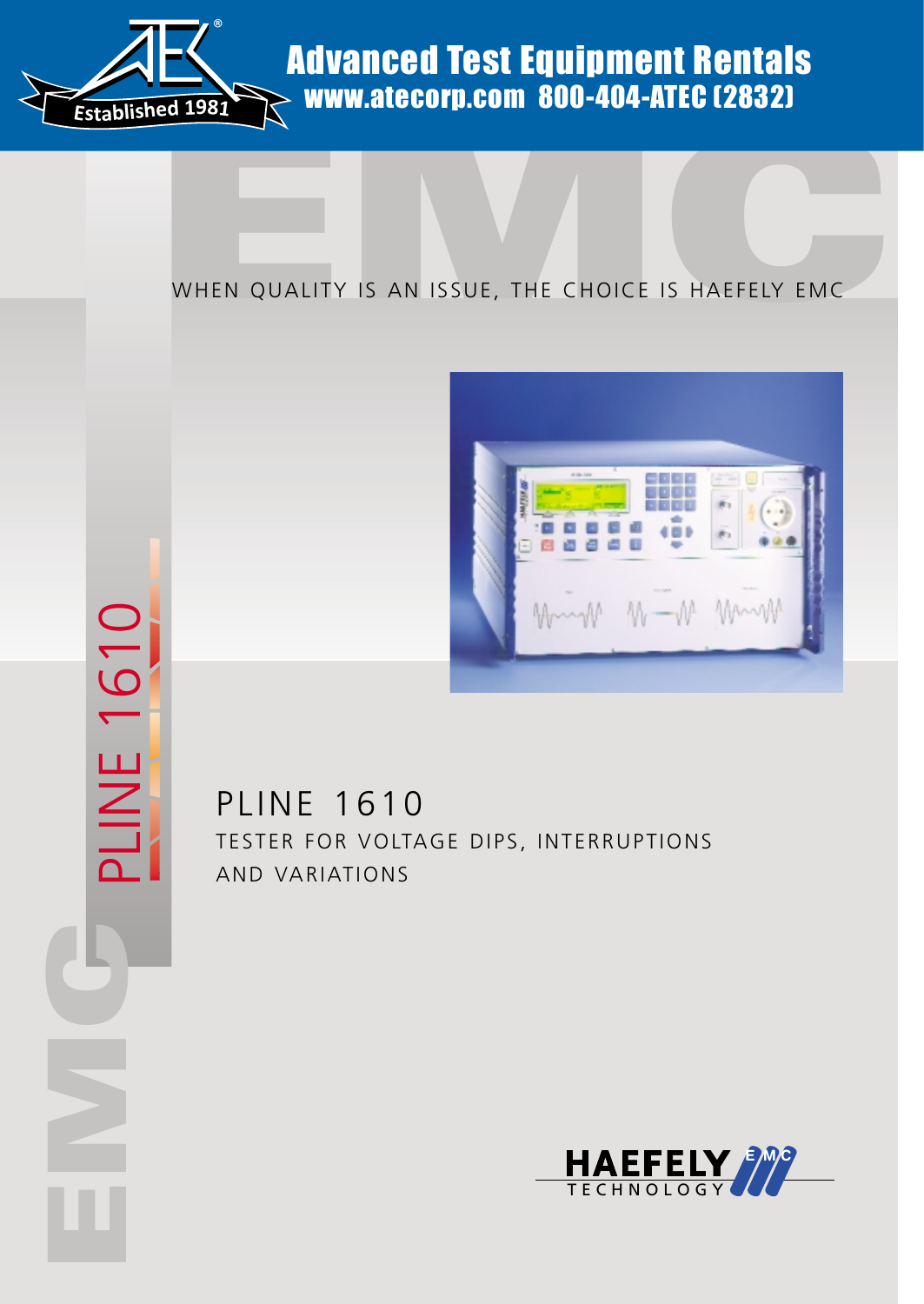

PLINE 1610

PLINE 1610

**C**<br>EMC

## Advanced Test Equipment Rentals www.atecorp.com 800-404-ATEC (2832)

### WHEN QUALITY IS AN ISSUE, THE CHOICE IS HAEFELY EMC



PLINE 1610 TESTER FOR VOLTAGE DIPS, INTERRUPTIONS AND VARIATIONS

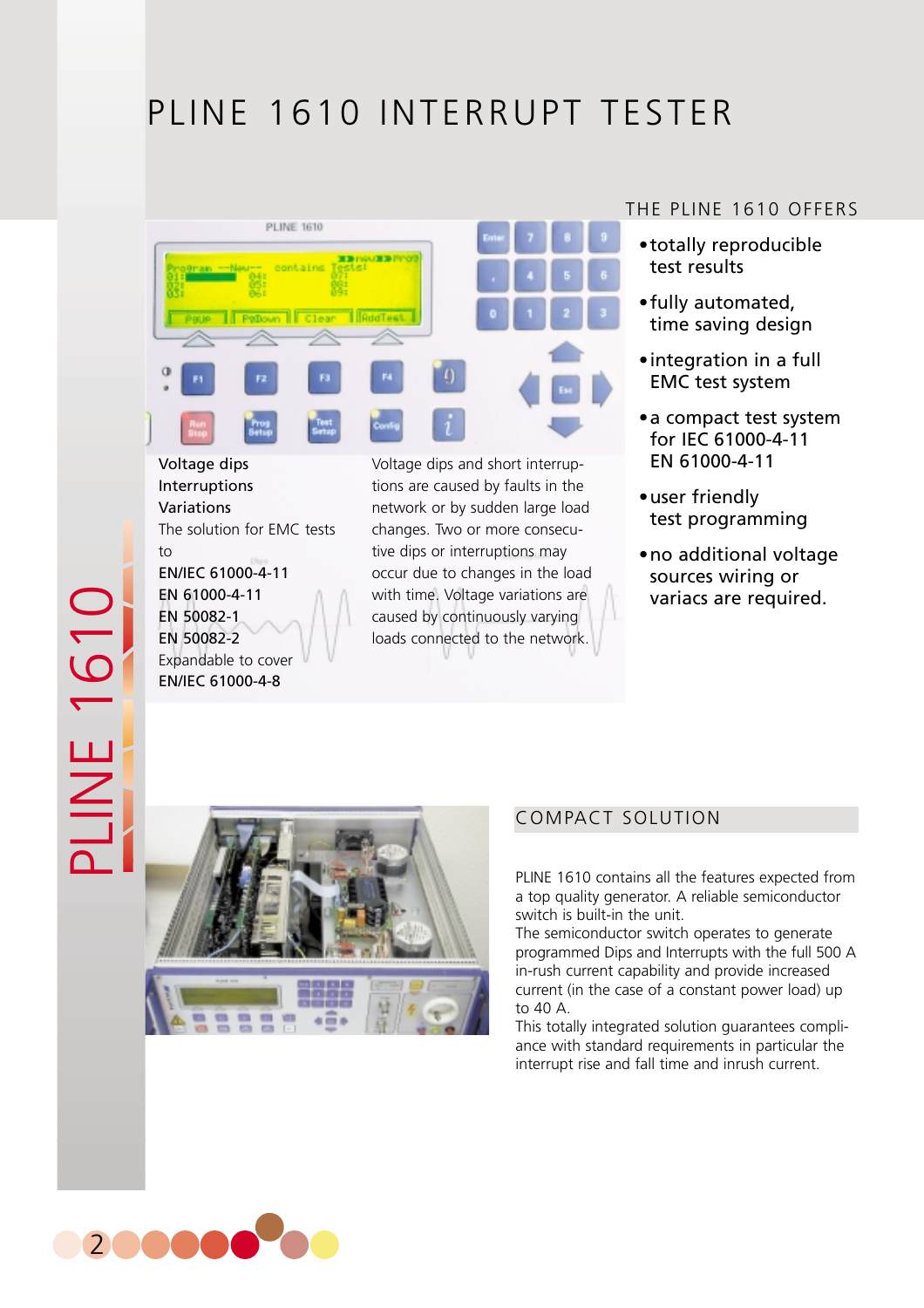# PLINE 1610 INTERRUPT TESTER



Voltage dips Interruptions Variations The solution for EMC tests  $t_0$ EN/IEC 61000-4-11 EN 61000-4-11 EN 50082-1 EN 50082-2 Expandable to cover EN/IEC 61000-4-8

PLINE 1610

NE 161

Voltage dips and short interruptions are caused by faults in the network or by sudden large load changes. Two or more consecutive dips or interruptions may occur due to changes in the load with time. Voltage variations are caused by continuously varying loads connected to the network.

#### THE PLINE 1610 OFFERS

- •totally reproducible test results
- •fully automated, time saving design
- •integration in a full EMC test system
- •a compact test system for IEC 61000-4-11 EN 61000-4-11
- •user friendly test programming
- •no additional voltage sources wiring or variacs are required.



#### COMPACT SOLUTION

PLINE 1610 contains all the features expected from a top quality generator. A reliable semiconductor switch is built-in the unit.

The semiconductor switch operates to generate programmed Dips and Interrupts with the full 500 A in-rush current capability and provide increased current (in the case of a constant power load) up to 40 A.

This totally integrated solution guarantees compliance with standard requirements in particular the interrupt rise and fall time and inrush current.

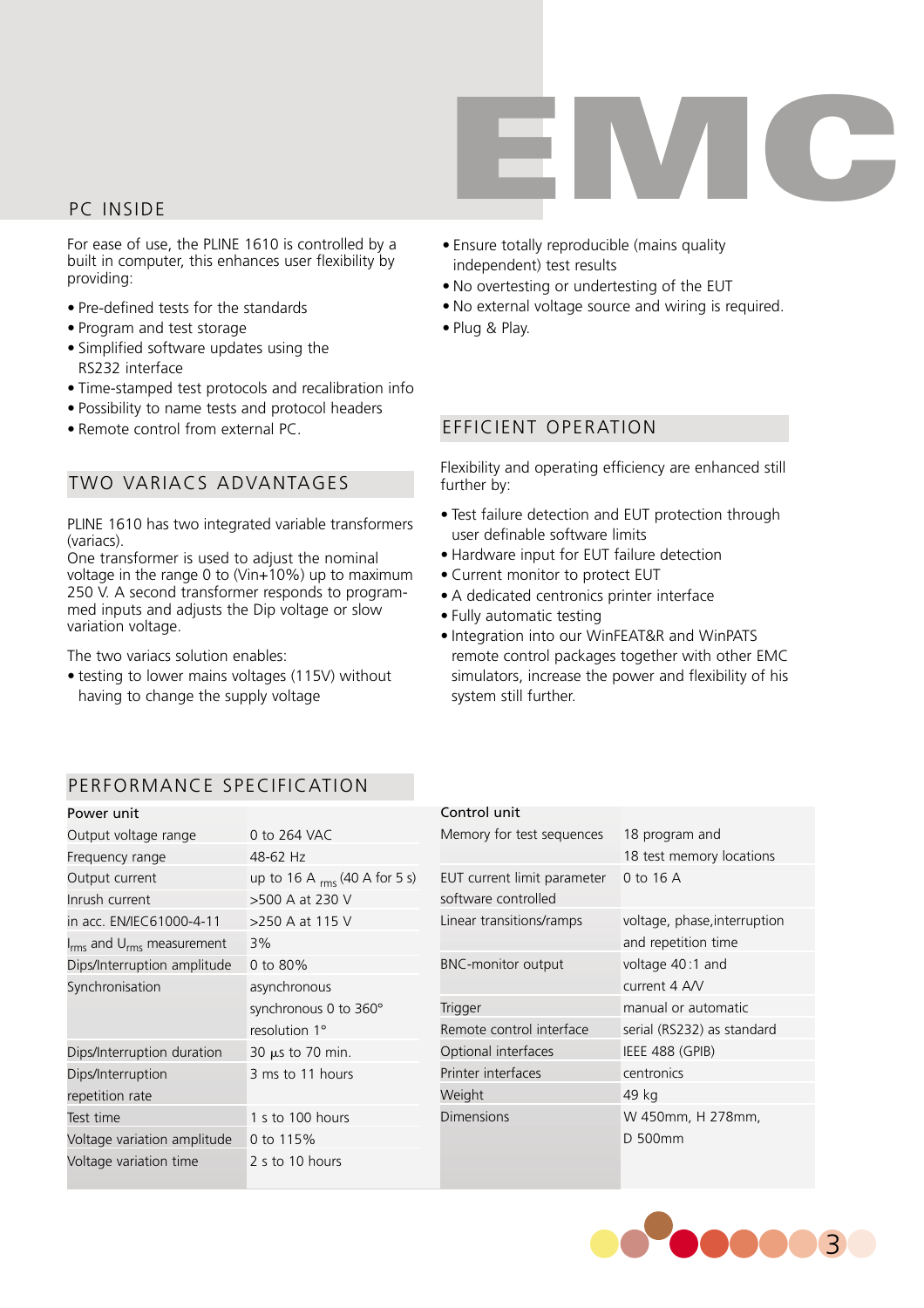

#### PC INSIDE

For ease of use, the PLINE 1610 is controlled by a built in computer, this enhances user flexibility by providing:

- Pre-defined tests for the standards
- Program and test storage
- Simplified software updates using the RS232 interface
- Time-stamped test protocols and recalibration info
- Possibility to name tests and protocol headers
- Remote control from external PC.

#### TWO VARIACS ADVANTAGES

PLINE 1610 has two integrated variable transformers (variacs).

One transformer is used to adjust the nominal voltage in the range 0 to (Vin $+10\%$ ) up to maximum 250 V. A second transformer responds to programmed inputs and adjusts the Dip voltage or slow variation voltage.

The two variacs solution enables:

• testing to lower mains voltages (115V) without having to change the supply voltage

- Ensure totally reproducible (mains quality independent) test results
- No overtesting or undertesting of the EUT
- No external voltage source and wiring is required.
- Plug & Play.

#### EFFICIENT OPERATION

Flexibility and operating efficiency are enhanced still further by:

- Test failure detection and EUT protection through user definable software limits
- Hardware input for EUT failure detection
- Current monitor to protect EUT
- A dedicated centronics printer interface
- Fully automatic testing
- Integration into our WinFEAT&R and WinPATS remote control packages together with other EMC simulators, increase the power and flexibility of his system still further.

#### PERFORMANCE SPECIFICATION

| Power unit                                        |                                    | Control unit                |                              |
|---------------------------------------------------|------------------------------------|-----------------------------|------------------------------|
| Output voltage range                              | 0 to 264 VAC                       | Memory for test sequences   | 18 program and               |
| Frequency range                                   | 48-62 Hz                           |                             | 18 test memory locations     |
| Output current                                    | up to 16 A $_{rms}$ (40 A for 5 s) | EUT current limit parameter | 0 to 16 A                    |
| Inrush current                                    | >500 A at 230 V                    | software controlled         |                              |
| in acc. EN/IEC61000-4-11                          | >250 A at 115 V                    | Linear transitions/ramps    | voltage, phase, interruption |
| I <sub>rms</sub> and U <sub>rms</sub> measurement | 3%                                 |                             | and repetition time          |
| Dips/Interruption amplitude                       | 0 to 80%                           | <b>BNC-monitor output</b>   | voltage 40:1 and             |
| Synchronisation                                   | asynchronous                       |                             | current 4 A/V                |
|                                                   | synchronous 0 to 360°              | <b>Trigger</b>              | manual or automatic          |
|                                                   | resolution 1°                      | Remote control interface    | serial (RS232) as standard   |
| Dips/Interruption duration                        | 30 $\mu$ s to 70 min.              | Optional interfaces         | IEEE 488 (GPIB)              |
| Dips/Interruption                                 | 3 ms to 11 hours                   | Printer interfaces          | centronics                   |
| repetition rate                                   |                                    | Weight                      | 49 kg                        |
| Test time                                         | 1 s to 100 hours                   | <b>Dimensions</b>           | W 450mm, H 278mm,            |
| Voltage variation amplitude                       | 0 to 115%                          |                             | D 500mm                      |
| Voltage variation time                            | 2 s to 10 hours                    |                             |                              |